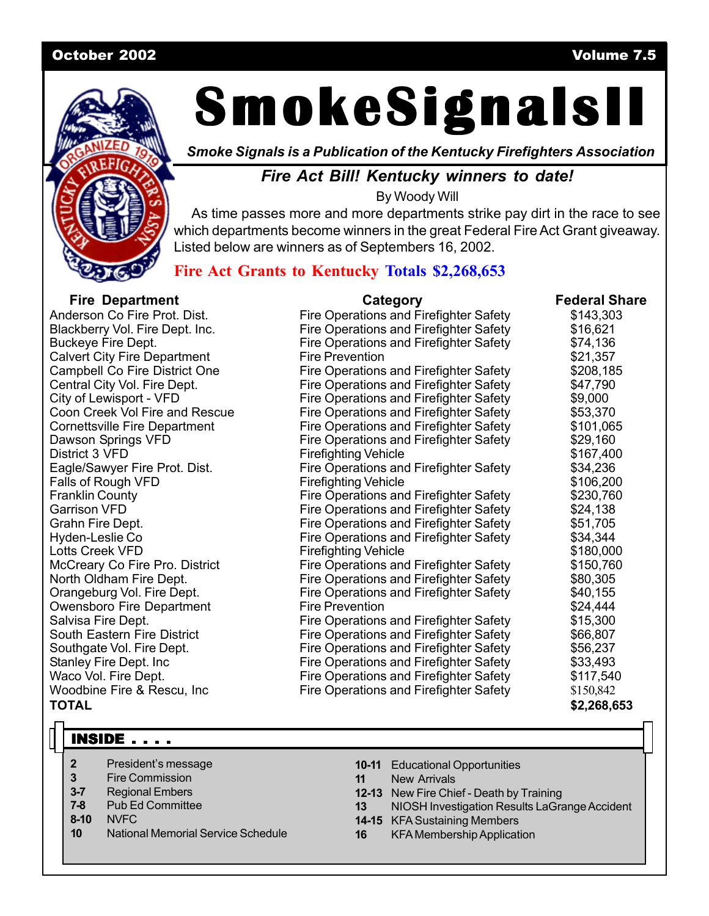#### October 2002 Volume 7.5



# **SmokeSignalsII SmokeSignalsII SmokeSignalsII**

*Smoke Signals is a Publication of the Kentucky Firefighters Association*

### *Fire Act Bill! Kentucky winners to date!*

By Woody Will

As time passes more and more departments strike pay dirt in the race to see which departments become winners in the great Federal Fire Act Grant giveaway. Listed below are winners as of Septembers 16, 2002.

### **Fire Act Grants to Kentucky Totals \$2,268,653**

| <b>Fire Department</b>               | Category                                      | <b>Federal Share</b> |
|--------------------------------------|-----------------------------------------------|----------------------|
| Anderson Co Fire Prot. Dist.         | Fire Operations and Firefighter Safety        | \$143,303            |
| Blackberry Vol. Fire Dept. Inc.      | Fire Operations and Firefighter Safety        | \$16,621             |
| <b>Buckeye Fire Dept.</b>            | Fire Operations and Firefighter Safety        | \$74,136             |
| <b>Calvert City Fire Department</b>  | <b>Fire Prevention</b>                        | \$21,357             |
| Campbell Co Fire District One        | Fire Operations and Firefighter Safety        | \$208,185            |
| Central City Vol. Fire Dept.         | Fire Operations and Firefighter Safety        | \$47,790             |
| City of Lewisport - VFD              | Fire Operations and Firefighter Safety        | \$9,000              |
| Coon Creek Vol Fire and Rescue       | Fire Operations and Firefighter Safety        | \$53,370             |
| <b>Cornettsville Fire Department</b> | Fire Operations and Firefighter Safety        | \$101,065            |
| Dawson Springs VFD                   | Fire Operations and Firefighter Safety        | \$29,160             |
| District 3 VFD                       | <b>Firefighting Vehicle</b>                   | \$167,400            |
| Eagle/Sawyer Fire Prot. Dist.        | Fire Operations and Firefighter Safety        | \$34,236             |
| Falls of Rough VFD                   | <b>Firefighting Vehicle</b>                   | \$106,200            |
| <b>Franklin County</b>               | <b>Fire Operations and Firefighter Safety</b> | \$230,760            |
| <b>Garrison VFD</b>                  | <b>Fire Operations and Firefighter Safety</b> | \$24,138             |
| Grahn Fire Dept.                     | <b>Fire Operations and Firefighter Safety</b> | \$51,705             |
| Hyden-Leslie Co                      | Fire Operations and Firefighter Safety        | \$34,344             |
| <b>Lotts Creek VFD</b>               | <b>Firefighting Vehicle</b>                   | \$180,000            |
| McCreary Co Fire Pro. District       | Fire Operations and Firefighter Safety        | \$150,760            |
| North Oldham Fire Dept.              | Fire Operations and Firefighter Safety        | \$80,305             |
| Orangeburg Vol. Fire Dept.           | Fire Operations and Firefighter Safety        | \$40,155             |
| Owensboro Fire Department            | <b>Fire Prevention</b>                        | \$24,444             |
| Salvisa Fire Dept.                   | Fire Operations and Firefighter Safety        | \$15,300             |
| South Eastern Fire District          | Fire Operations and Firefighter Safety        | \$66,807             |
| Southgate Vol. Fire Dept.            | Fire Operations and Firefighter Safety        | \$56,237             |
| Stanley Fire Dept. Inc               | Fire Operations and Firefighter Safety        | \$33,493             |
| Waco Vol. Fire Dept.                 | <b>Fire Operations and Firefighter Safety</b> | \$117,540            |
| Woodbine Fire & Rescu, Inc.          | Fire Operations and Firefighter Safety        | \$150,842            |
| <b>TOTAL</b>                         |                                               | \$2,268,653          |

# **INSIDE . . . .**

- **2** President's message
- **3** Fire Commission
- **3-7** Regional Embers
- **7-8** Pub Ed Committee
- **8-10** NVFC
- **10** National Memorial Service Schedule
- **10-11** Educational Opportunities
- **11** New Arrivals
- **12-13** New Fire Chief Death by Training
- **13** NIOSH Investigation Results LaGrange Accident
- **14-15** KFA Sustaining Members
- **16** KFA Membership Application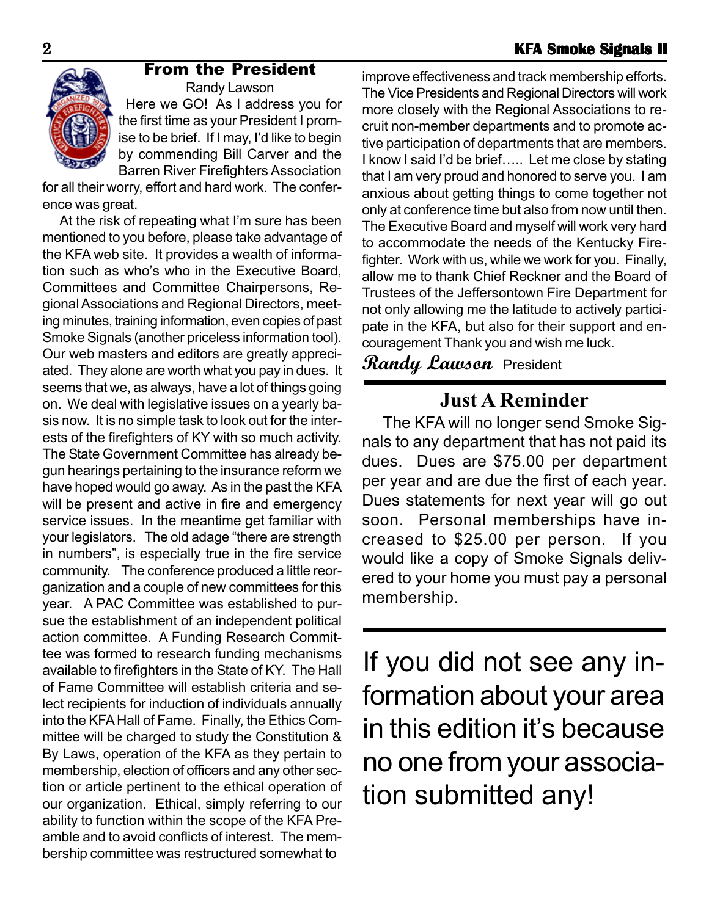

# From the President

Randy Lawson Here we GO! As I address you for the first time as your President I promise to be brief. If I may, I'd like to begin by commending Bill Carver and the Barren River Firefighters Association

for all their worry, effort and hard work. The conference was great.

 At the risk of repeating what I'm sure has been mentioned to you before, please take advantage of the KFA web site. It provides a wealth of information such as who's who in the Executive Board, Committees and Committee Chairpersons, Regional Associations and Regional Directors, meeting minutes, training information, even copies of past Smoke Signals (another priceless information tool). Our web masters and editors are greatly appreciated. They alone are worth what you pay in dues. It seems that we, as always, have a lot of things going on. We deal with legislative issues on a yearly basis now. It is no simple task to look out for the interests of the firefighters of KY with so much activity. The State Government Committee has already begun hearings pertaining to the insurance reform we have hoped would go away. As in the past the KFA will be present and active in fire and emergency service issues. In the meantime get familiar with your legislators. The old adage "there are strength in numbers", is especially true in the fire service community. The conference produced a little reorganization and a couple of new committees for this year. A PAC Committee was established to pursue the establishment of an independent political action committee. A Funding Research Committee was formed to research funding mechanisms available to firefighters in the State of KY. The Hall of Fame Committee will establish criteria and select recipients for induction of individuals annually into the KFA Hall of Fame. Finally, the Ethics Committee will be charged to study the Constitution & By Laws, operation of the KFA as they pertain to membership, election of officers and any other section or article pertinent to the ethical operation of our organization. Ethical, simply referring to our ability to function within the scope of the KFA Preamble and to avoid conflicts of interest. The membership committee was restructured somewhat to

improve effectiveness and track membership efforts. The Vice Presidents and Regional Directors will work more closely with the Regional Associations to recruit non-member departments and to promote active participation of departments that are members. I know I said I'd be brief….. Let me close by stating that I am very proud and honored to serve you. I am anxious about getting things to come together not only at conference time but also from now until then. The Executive Board and myself will work very hard to accommodate the needs of the Kentucky Firefighter. Work with us, while we work for you. Finally, allow me to thank Chief Reckner and the Board of Trustees of the Jeffersontown Fire Department for not only allowing me the latitude to actively participate in the KFA, but also for their support and encouragement Thank you and wish me luck.

# **Randy Lawson** President

# **Just A Reminder**

The KFA will no longer send Smoke Signals to any department that has not paid its dues. Dues are \$75.00 per department per year and are due the first of each year. Dues statements for next year will go out soon. Personal memberships have increased to \$25.00 per person. If you would like a copy of Smoke Signals delivered to your home you must pay a personal membership.

If you did not see any information about your area in this edition it's because no one from your association submitted any!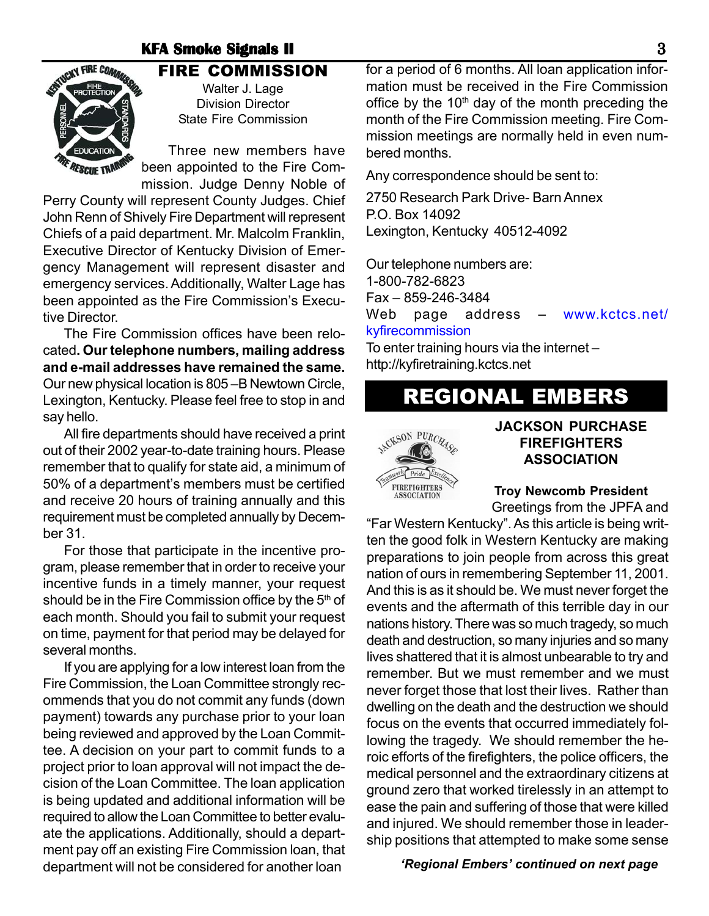### **KFA Smoke Signals II Bignals II Bignals II**



### FIRE COMMISSION Walter J. Lage

Division Director State Fire Commission

Three new members have been appointed to the Fire Commission. Judge Denny Noble of

Perry County will represent County Judges. Chief John Renn of Shively Fire Department will represent Chiefs of a paid department. Mr. Malcolm Franklin, Executive Director of Kentucky Division of Emergency Management will represent disaster and emergency services. Additionally, Walter Lage has been appointed as the Fire Commission's Executive Director.

The Fire Commission offices have been relocated**. Our telephone numbers, mailing address and e-mail addresses have remained the same.** Our new physical location is 805 –B Newtown Circle, Lexington, Kentucky. Please feel free to stop in and say hello.

All fire departments should have received a print out of their 2002 year-to-date training hours. Please remember that to qualify for state aid, a minimum of 50% of a department's members must be certified and receive 20 hours of training annually and this requirement must be completed annually by December 31.

For those that participate in the incentive program, please remember that in order to receive your incentive funds in a timely manner, your request should be in the Fire Commission office by the  $5<sup>th</sup>$  of each month. Should you fail to submit your request on time, payment for that period may be delayed for several months.

If you are applying for a low interest loan from the Fire Commission, the Loan Committee strongly recommends that you do not commit any funds (down payment) towards any purchase prior to your loan being reviewed and approved by the Loan Committee. A decision on your part to commit funds to a project prior to loan approval will not impact the decision of the Loan Committee. The loan application is being updated and additional information will be required to allow the Loan Committee to better evaluate the applications. Additionally, should a department pay off an existing Fire Commission loan, that department will not be considered for another loan *'Regional Embers' continued on next page*

for a period of 6 months. All loan application information must be received in the Fire Commission office by the  $10<sup>th</sup>$  day of the month preceding the month of the Fire Commission meeting. Fire Commission meetings are normally held in even numbered months.

Any correspondence should be sent to:

2750 Research Park Drive- Barn Annex P.O. Box 14092 Lexington, Kentucky 40512-4092

Our telephone numbers are:

1-800-782-6823

Fax – 859-246-3484

Web page address – www.kctcs.net/ kyfirecommission

To enter training hours via the internet – http://kyfiretraining.kctcs.net

# REGIONAL EMBERS



### **JACKSON PURCHASE FIREFIGHTERS ASSOCIATION**

**Troy Newcomb President**

Greetings from the JPFA and "Far Western Kentucky". As this article is being written the good folk in Western Kentucky are making preparations to join people from across this great nation of ours in remembering September 11, 2001. And this is as it should be. We must never forget the events and the aftermath of this terrible day in our nations history. There was so much tragedy, so much death and destruction, so many injuries and so many lives shattered that it is almost unbearable to try and remember. But we must remember and we must never forget those that lost their lives. Rather than dwelling on the death and the destruction we should focus on the events that occurred immediately following the tragedy. We should remember the heroic efforts of the firefighters, the police officers, the medical personnel and the extraordinary citizens at ground zero that worked tirelessly in an attempt to ease the pain and suffering of those that were killed and injured. We should remember those in leadership positions that attempted to make some sense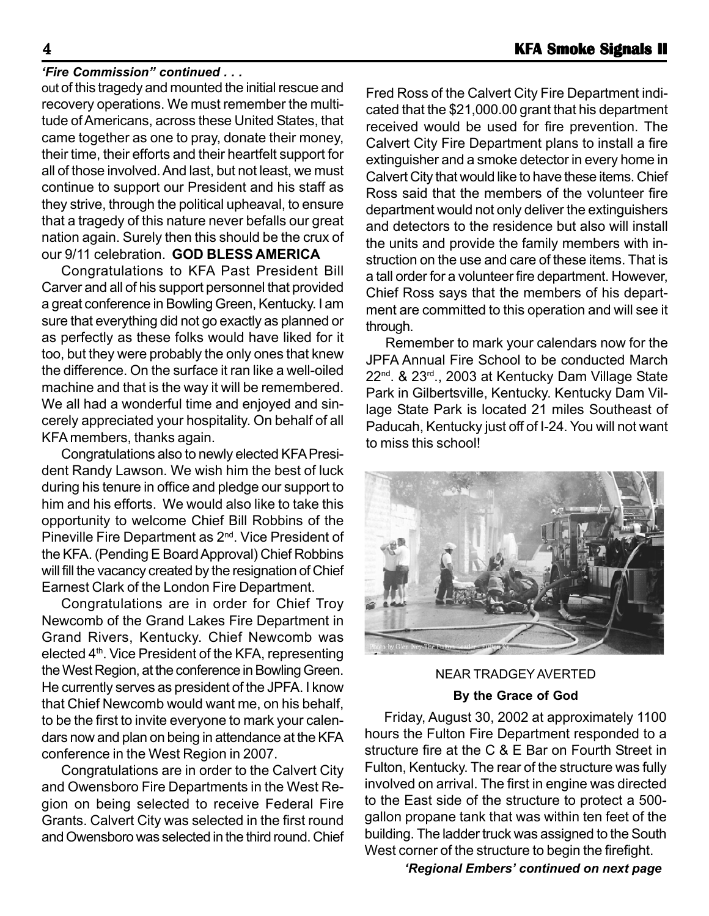#### *'Fire Commission" continued . . .*

out of this tragedy and mounted the initial rescue and recovery operations. We must remember the multitude of Americans, across these United States, that came together as one to pray, donate their money, their time, their efforts and their heartfelt support for all of those involved. And last, but not least, we must continue to support our President and his staff as they strive, through the political upheaval, to ensure that a tragedy of this nature never befalls our great nation again. Surely then this should be the crux of our 9/11 celebration. **GOD BLESS AMERICA**

Congratulations to KFA Past President Bill Carver and all of his support personnel that provided a great conference in Bowling Green, Kentucky. I am sure that everything did not go exactly as planned or as perfectly as these folks would have liked for it too, but they were probably the only ones that knew the difference. On the surface it ran like a well-oiled machine and that is the way it will be remembered. We all had a wonderful time and enjoyed and sincerely appreciated your hospitality. On behalf of all KFA members, thanks again.

Congratulations also to newly elected KFA President Randy Lawson. We wish him the best of luck during his tenure in office and pledge our support to him and his efforts. We would also like to take this opportunity to welcome Chief Bill Robbins of the Pineville Fire Department as 2<sup>nd</sup>. Vice President of the KFA. (Pending E Board Approval) Chief Robbins will fill the vacancy created by the resignation of Chief Earnest Clark of the London Fire Department.

Congratulations are in order for Chief Troy Newcomb of the Grand Lakes Fire Department in Grand Rivers, Kentucky. Chief Newcomb was elected  $4<sup>th</sup>$ . Vice President of the KFA, representing the West Region, at the conference in Bowling Green. He currently serves as president of the JPFA. I know that Chief Newcomb would want me, on his behalf, to be the first to invite everyone to mark your calendars now and plan on being in attendance at the KFA conference in the West Region in 2007.

Congratulations are in order to the Calvert City and Owensboro Fire Departments in the West Region on being selected to receive Federal Fire Grants. Calvert City was selected in the first round and Owensboro was selected in the third round. Chief Fred Ross of the Calvert City Fire Department indicated that the \$21,000.00 grant that his department received would be used for fire prevention. The Calvert City Fire Department plans to install a fire extinguisher and a smoke detector in every home in Calvert City that would like to have these items. Chief Ross said that the members of the volunteer fire department would not only deliver the extinguishers and detectors to the residence but also will install the units and provide the family members with instruction on the use and care of these items. That is a tall order for a volunteer fire department. However, Chief Ross says that the members of his department are committed to this operation and will see it through.

Remember to mark your calendars now for the JPFA Annual Fire School to be conducted March 22<sup>nd</sup>. & 23<sup>rd</sup>., 2003 at Kentucky Dam Village State Park in Gilbertsville, Kentucky. Kentucky Dam Village State Park is located 21 miles Southeast of Paducah, Kentucky just off of I-24. You will not want to miss this school!



NEAR TRADGEY AVERTED **By the Grace of God**

Friday, August 30, 2002 at approximately 1100 hours the Fulton Fire Department responded to a structure fire at the C & E Bar on Fourth Street in Fulton, Kentucky. The rear of the structure was fully involved on arrival. The first in engine was directed to the East side of the structure to protect a 500 gallon propane tank that was within ten feet of the building. The ladder truck was assigned to the South West corner of the structure to begin the firefight.

*'Regional Embers' continued on next page*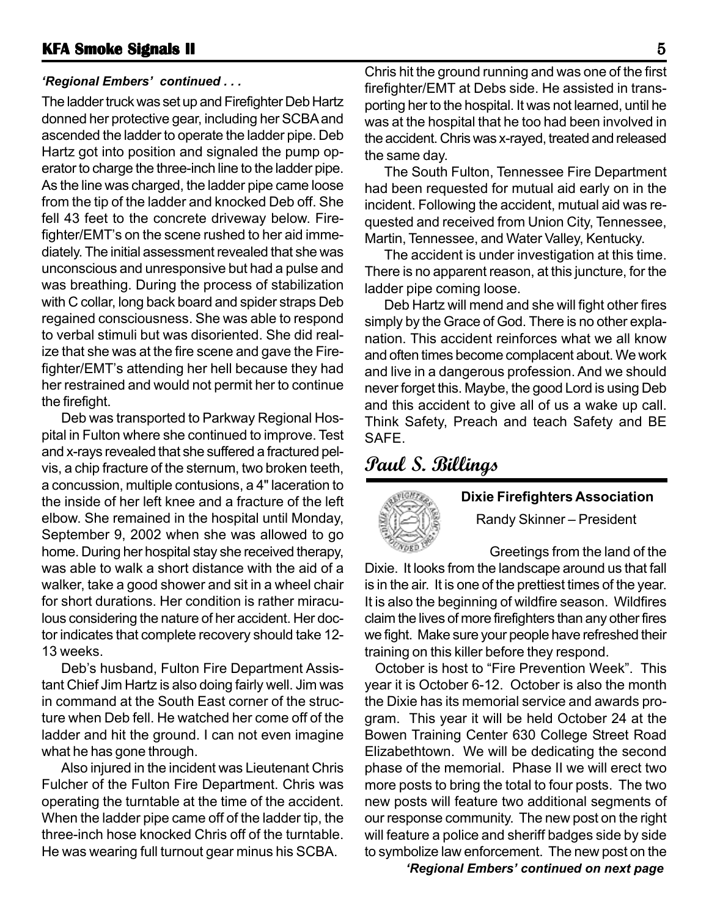#### *'Regional Embers' continued . . .*

The ladder truck was set up and Firefighter Deb Hartz donned her protective gear, including her SCBA and ascended the ladder to operate the ladder pipe. Deb Hartz got into position and signaled the pump operator to charge the three-inch line to the ladder pipe. As the line was charged, the ladder pipe came loose from the tip of the ladder and knocked Deb off. She fell 43 feet to the concrete driveway below. Firefighter/EMT's on the scene rushed to her aid immediately. The initial assessment revealed that she was unconscious and unresponsive but had a pulse and was breathing. During the process of stabilization with C collar, long back board and spider straps Deb regained consciousness. She was able to respond to verbal stimuli but was disoriented. She did realize that she was at the fire scene and gave the Firefighter/EMT's attending her hell because they had her restrained and would not permit her to continue the firefight.

Deb was transported to Parkway Regional Hospital in Fulton where she continued to improve. Test and x-rays revealed that she suffered a fractured pelvis, a chip fracture of the sternum, two broken teeth, a concussion, multiple contusions, a 4" laceration to the inside of her left knee and a fracture of the left elbow. She remained in the hospital until Monday, September 9, 2002 when she was allowed to go home. During her hospital stay she received therapy, was able to walk a short distance with the aid of a walker, take a good shower and sit in a wheel chair for short durations. Her condition is rather miraculous considering the nature of her accident. Her doctor indicates that complete recovery should take 12- 13 weeks.

Deb's husband, Fulton Fire Department Assistant Chief Jim Hartz is also doing fairly well. Jim was in command at the South East corner of the structure when Deb fell. He watched her come off of the ladder and hit the ground. I can not even imagine what he has gone through.

Also injured in the incident was Lieutenant Chris Fulcher of the Fulton Fire Department. Chris was operating the turntable at the time of the accident. When the ladder pipe came off of the ladder tip, the three-inch hose knocked Chris off of the turntable. He was wearing full turnout gear minus his SCBA.

Chris hit the ground running and was one of the first firefighter/EMT at Debs side. He assisted in transporting her to the hospital. It was not learned, until he was at the hospital that he too had been involved in the accident. Chris was x-rayed, treated and released the same day.

The South Fulton, Tennessee Fire Department had been requested for mutual aid early on in the incident. Following the accident, mutual aid was requested and received from Union City, Tennessee, Martin, Tennessee, and Water Valley, Kentucky.

The accident is under investigation at this time. There is no apparent reason, at this juncture, for the ladder pipe coming loose.

Deb Hartz will mend and she will fight other fires simply by the Grace of God. There is no other explanation. This accident reinforces what we all know and often times become complacent about. We work and live in a dangerous profession. And we should never forget this. Maybe, the good Lord is using Deb and this accident to give all of us a wake up call. Think Safety, Preach and teach Safety and BE SAFE.

# **Paul S. Billings**



# **Dixie Firefighters Association**

Randy Skinner – President

Greetings from the land of the Dixie. It looks from the landscape around us that fall is in the air. It is one of the prettiest times of the year. It is also the beginning of wildfire season. Wildfires claim the lives of more firefighters than any other fires we fight. Make sure your people have refreshed their training on this killer before they respond.

October is host to "Fire Prevention Week". This year it is October 6-12. October is also the month the Dixie has its memorial service and awards program. This year it will be held October 24 at the Bowen Training Center 630 College Street Road Elizabethtown. We will be dedicating the second phase of the memorial. Phase II we will erect two more posts to bring the total to four posts. The two new posts will feature two additional segments of our response community. The new post on the right will feature a police and sheriff badges side by side to symbolize law enforcement. The new post on the

*'Regional Embers' continued on next page*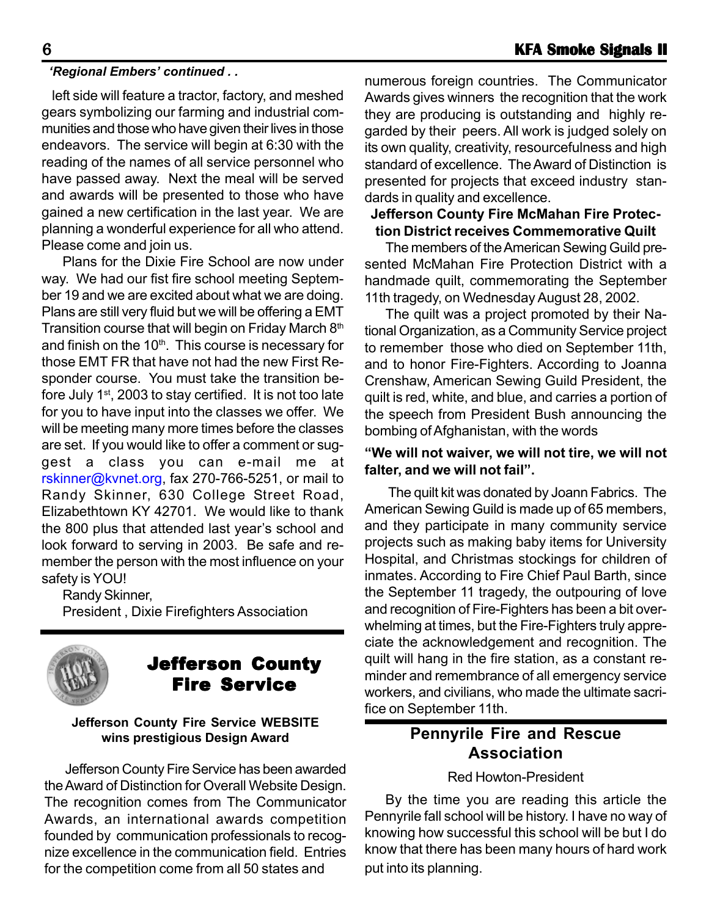#### *'Regional Embers' continued . .*

left side will feature a tractor, factory, and meshed gears symbolizing our farming and industrial communities and those who have given their lives in those endeavors. The service will begin at 6:30 with the reading of the names of all service personnel who have passed away. Next the meal will be served and awards will be presented to those who have gained a new certification in the last year. We are planning a wonderful experience for all who attend. Please come and join us.

Plans for the Dixie Fire School are now under way. We had our fist fire school meeting September 19 and we are excited about what we are doing. Plans are still very fluid but we will be offering a EMT Transition course that will begin on Friday March 8<sup>th</sup> and finish on the  $10<sup>th</sup>$ . This course is necessary for those EMT FR that have not had the new First Responder course. You must take the transition before July 1<sup>st</sup>, 2003 to stay certified. It is not too late for you to have input into the classes we offer. We will be meeting many more times before the classes are set. If you would like to offer a comment or suggest a class you can e-mail me at rskinner@kvnet.org, fax 270-766-5251, or mail to Randy Skinner, 630 College Street Road, Elizabethtown KY 42701. We would like to thank the 800 plus that attended last year's school and look forward to serving in 2003. Be safe and remember the person with the most influence on your safety is YOU!

Randy Skinner,

President , Dixie Firefighters Association



# Jefferson County Fire Service

#### **Jefferson County Fire Service WEBSITE wins prestigious Design Award**

Jefferson County Fire Service has been awarded the Award of Distinction for Overall Website Design. The recognition comes from The Communicator Awards, an international awards competition founded by communication professionals to recognize excellence in the communication field. Entries for the competition come from all 50 states and

numerous foreign countries. The Communicator Awards gives winners the recognition that the work they are producing is outstanding and highly regarded by their peers. All work is judged solely on its own quality, creativity, resourcefulness and high standard of excellence. The Award of Distinction is presented for projects that exceed industry standards in quality and excellence.

#### **Jefferson County Fire McMahan Fire Protection District receives Commemorative Quilt**

The members of the American Sewing Guild presented McMahan Fire Protection District with a handmade quilt, commemorating the September 11th tragedy, on Wednesday August 28, 2002.

The quilt was a project promoted by their National Organization, as a Community Service project to remember those who died on September 11th, and to honor Fire-Fighters. According to Joanna Crenshaw, American Sewing Guild President, the quilt is red, white, and blue, and carries a portion of the speech from President Bush announcing the bombing of Afghanistan, with the words

#### **"We will not waiver, we will not tire, we will not falter, and we will not fail".**

The quilt kit was donated by Joann Fabrics. The American Sewing Guild is made up of 65 members, and they participate in many community service projects such as making baby items for University Hospital, and Christmas stockings for children of inmates. According to Fire Chief Paul Barth, since the September 11 tragedy, the outpouring of love and recognition of Fire-Fighters has been a bit overwhelming at times, but the Fire-Fighters truly appreciate the acknowledgement and recognition. The quilt will hang in the fire station, as a constant reminder and remembrance of all emergency service workers, and civilians, who made the ultimate sacrifice on September 11th.

# **Pennyrile Fire and Rescue Association**

#### Red Howton-President

By the time you are reading this article the Pennyrile fall school will be history. I have no way of knowing how successful this school will be but I do know that there has been many hours of hard work put into its planning.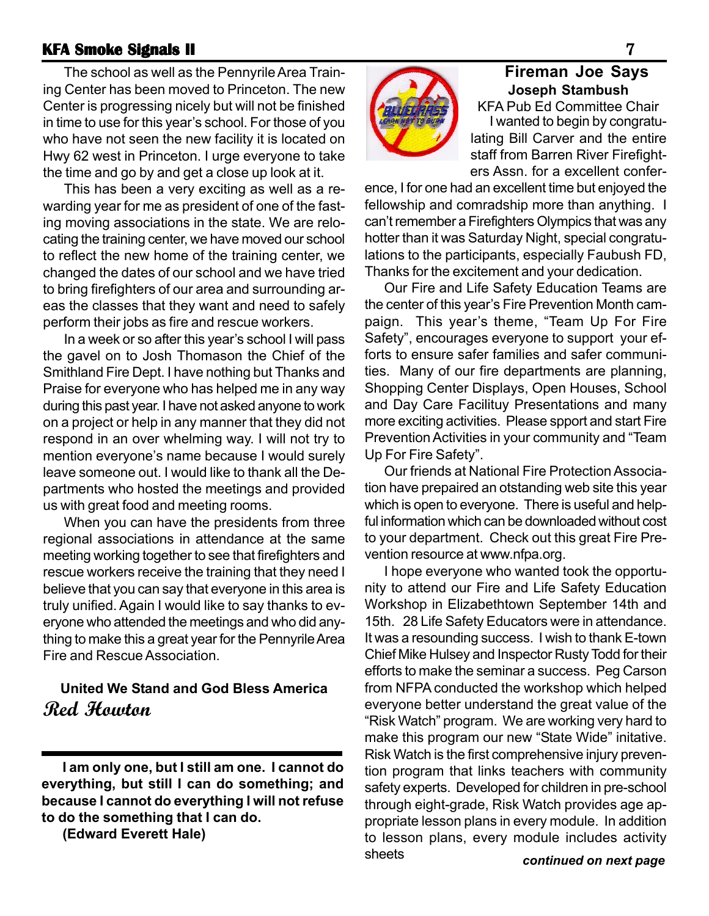#### **KFA Smoke Signals II KFA Signals II** 7

The school as well as the Pennyrile Area Training Center has been moved to Princeton. The new Center is progressing nicely but will not be finished in time to use for this year's school. For those of you who have not seen the new facility it is located on Hwy 62 west in Princeton. I urge everyone to take the time and go by and get a close up look at it.

This has been a very exciting as well as a rewarding year for me as president of one of the fasting moving associations in the state. We are relocating the training center, we have moved our school to reflect the new home of the training center, we changed the dates of our school and we have tried to bring firefighters of our area and surrounding areas the classes that they want and need to safely perform their jobs as fire and rescue workers.

In a week or so after this year's school I will pass the gavel on to Josh Thomason the Chief of the Smithland Fire Dept. I have nothing but Thanks and Praise for everyone who has helped me in any way during this past year. I have not asked anyone to work on a project or help in any manner that they did not respond in an over whelming way. I will not try to mention everyone's name because I would surely leave someone out. I would like to thank all the Departments who hosted the meetings and provided us with great food and meeting rooms.

When you can have the presidents from three regional associations in attendance at the same meeting working together to see that firefighters and rescue workers receive the training that they need I believe that you can say that everyone in this area is truly unified. Again I would like to say thanks to everyone who attended the meetings and who did anything to make this a great year for the Pennyrile Area Fire and Rescue Association.

# **United We Stand and God Bless America Red Howton**

**I am only one, but I still am one. I cannot do everything, but still I can do something; and because I cannot do everything I will not refuse to do the something that I can do.**

**(Edward Everett Hale)**



# **Fireman Joe Says Joseph Stambush**

KFA Pub Ed Committee Chair I wanted to begin by congratulating Bill Carver and the entire staff from Barren River Firefighters Assn. for a excellent confer-

ence, I for one had an excellent time but enjoyed the fellowship and comradship more than anything. I can't remember a Firefighters Olympics that was any hotter than it was Saturday Night, special congratulations to the participants, especially Faubush FD, Thanks for the excitement and your dedication.

Our Fire and Life Safety Education Teams are the center of this year's Fire Prevention Month campaign. This year's theme, "Team Up For Fire Safety", encourages everyone to support your efforts to ensure safer families and safer communities. Many of our fire departments are planning, Shopping Center Displays, Open Houses, School and Day Care Facilituy Presentations and many more exciting activities. Please spport and start Fire Prevention Activities in your community and "Team Up For Fire Safety".

Our friends at National Fire Protection Association have prepaired an otstanding web site this year which is open to everyone. There is useful and helpful information which can be downloaded without cost to your department. Check out this great Fire Prevention resource at www.nfpa.org.

I hope everyone who wanted took the opportunity to attend our Fire and Life Safety Education Workshop in Elizabethtown September 14th and 15th. 28 Life Safety Educators were in attendance. It was a resounding success. I wish to thank E-town Chief Mike Hulsey and Inspector Rusty Todd for their efforts to make the seminar a success. Peg Carson from NFPA conducted the workshop which helped everyone better understand the great value of the "Risk Watch" program. We are working very hard to make this program our new "State Wide" initative. Risk Watch is the first comprehensive injury prevention program that links teachers with community safety experts. Developed for children in pre-school through eight-grade, Risk Watch provides age appropriate lesson plans in every module. In addition to lesson plans, every module includes activity sheets *continued on next page*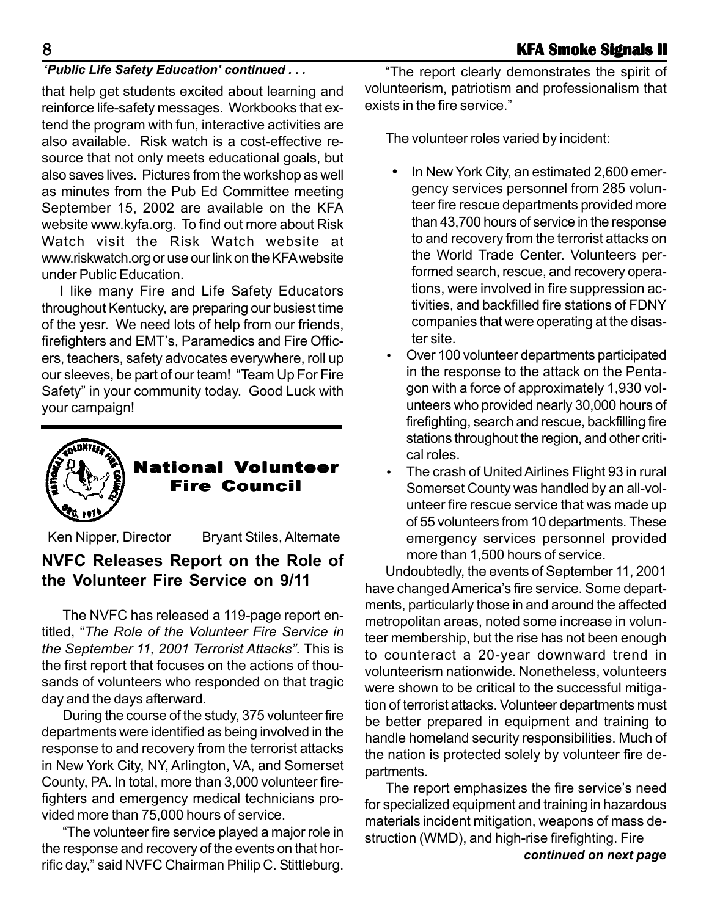#### *'Public Life Safety Education' continued . . .*

that help get students excited about learning and reinforce life-safety messages. Workbooks that extend the program with fun, interactive activities are also available. Risk watch is a cost-effective resource that not only meets educational goals, but also saves lives. Pictures from the workshop as well as minutes from the Pub Ed Committee meeting September 15, 2002 are available on the KFA website www.kyfa.org. To find out more about Risk Watch visit the Risk Watch website at www.riskwatch.org or use our link on the KFA website under Public Education.

I like many Fire and Life Safety Educators throughout Kentucky, are preparing our busiest time of the yesr. We need lots of help from our friends, firefighters and EMT's, Paramedics and Fire Officers, teachers, safety advocates everywhere, roll up our sleeves, be part of our team! "Team Up For Fire Safety" in your community today. Good Luck with your campaign!



### **National Volunteer Fire Council**

Ken Nipper, Director Bryant Stiles, Alternate

# **NVFC Releases Report on the Role of the Volunteer Fire Service on 9/11**

The NVFC has released a 119-page report entitled, "*The Role of the Volunteer Fire Service in the September 11, 2001 Terrorist Attacks".* This is the first report that focuses on the actions of thousands of volunteers who responded on that tragic day and the days afterward.

During the course of the study, 375 volunteer fire departments were identified as being involved in the response to and recovery from the terrorist attacks in New York City, NY, Arlington, VA, and Somerset County, PA. In total, more than 3,000 volunteer firefighters and emergency medical technicians provided more than 75,000 hours of service.

"The volunteer fire service played a major role in the response and recovery of the events on that horrific day," said NVFC Chairman Philip C. Stittleburg.

"The report clearly demonstrates the spirit of volunteerism, patriotism and professionalism that exists in the fire service."

The volunteer roles varied by incident:

- In New York City, an estimated 2,600 emergency services personnel from 285 volunteer fire rescue departments provided more than 43,700 hours of service in the response to and recovery from the terrorist attacks on the World Trade Center. Volunteers performed search, rescue, and recovery operations, were involved in fire suppression activities, and backfilled fire stations of FDNY companies that were operating at the disaster site.
- Over 100 volunteer departments participated in the response to the attack on the Pentagon with a force of approximately 1,930 volunteers who provided nearly 30,000 hours of firefighting, search and rescue, backfilling fire stations throughout the region, and other critical roles.
- The crash of United Airlines Flight 93 in rural Somerset County was handled by an all-volunteer fire rescue service that was made up of 55 volunteers from 10 departments. These emergency services personnel provided more than 1,500 hours of service.

Undoubtedly, the events of September 11, 2001 have changed America's fire service. Some departments, particularly those in and around the affected metropolitan areas, noted some increase in volunteer membership, but the rise has not been enough to counteract a 20-year downward trend in volunteerism nationwide. Nonetheless, volunteers were shown to be critical to the successful mitigation of terrorist attacks. Volunteer departments must be better prepared in equipment and training to handle homeland security responsibilities. Much of the nation is protected solely by volunteer fire departments.

*continued on next page* The report emphasizes the fire service's need for specialized equipment and training in hazardous materials incident mitigation, weapons of mass destruction (WMD), and high-rise firefighting. Fire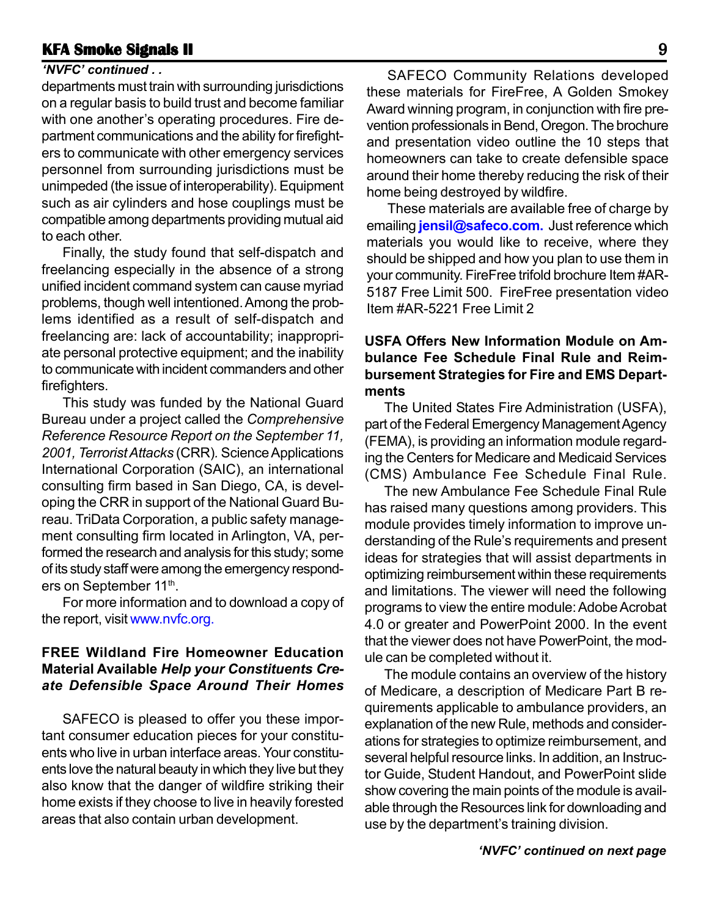### **KFA Smoke Signals II Bignals II Bignals Research 2012 Bignals Bignals B**

### *'NVFC' continued . .*

departments must train with surrounding jurisdictions on a regular basis to build trust and become familiar with one another's operating procedures. Fire department communications and the ability for firefighters to communicate with other emergency services personnel from surrounding jurisdictions must be unimpeded (the issue of interoperability). Equipment such as air cylinders and hose couplings must be compatible among departments providing mutual aid to each other.

Finally, the study found that self-dispatch and freelancing especially in the absence of a strong unified incident command system can cause myriad problems, though well intentioned. Among the problems identified as a result of self-dispatch and freelancing are: lack of accountability; inappropriate personal protective equipment; and the inability to communicate with incident commanders and other firefighters.

This study was funded by the National Guard Bureau under a project called the *Comprehensive Reference Resource Report on the September 11, 2001, Terrorist Attacks* (CRR)*.* Science Applications International Corporation (SAIC), an international consulting firm based in San Diego, CA, is developing the CRR in support of the National Guard Bureau. TriData Corporation, a public safety management consulting firm located in Arlington, VA, performed the research and analysis for this study; some of its study staff were among the emergency responders on September 11<sup>th</sup>.

For more information and to download a copy of the report, visit www.nvfc.org.

#### **FREE Wildland Fire Homeowner Education Material Available** *Help your Constituents Create Defensible Space Around Their Homes*

SAFECO is pleased to offer you these important consumer education pieces for your constituents who live in urban interface areas. Your constituents love the natural beauty in which they live but they also know that the danger of wildfire striking their home exists if they choose to live in heavily forested areas that also contain urban development.

SAFECO Community Relations developed these materials for FireFree, A Golden Smokey Award winning program, in conjunction with fire prevention professionals in Bend, Oregon. The brochure and presentation video outline the 10 steps that homeowners can take to create defensible space around their home thereby reducing the risk of their home being destroyed by wildfire.

These materials are available free of charge by emailing **jensil@safeco.com.** Just reference which materials you would like to receive, where they should be shipped and how you plan to use them in your community. FireFree trifold brochure Item #AR-5187 Free Limit 500. FireFree presentation video Item #AR-5221 Free Limit 2

#### **USFA Offers New Information Module on Ambulance Fee Schedule Final Rule and Reimbursement Strategies for Fire and EMS Departments**

The United States Fire Administration (USFA), part of the Federal Emergency Management Agency (FEMA), is providing an information module regarding the Centers for Medicare and Medicaid Services (CMS) Ambulance Fee Schedule Final Rule.

The new Ambulance Fee Schedule Final Rule has raised many questions among providers. This module provides timely information to improve understanding of the Rule's requirements and present ideas for strategies that will assist departments in optimizing reimbursement within these requirements and limitations. The viewer will need the following programs to view the entire module: Adobe Acrobat 4.0 or greater and PowerPoint 2000. In the event that the viewer does not have PowerPoint, the module can be completed without it.

The module contains an overview of the history of Medicare, a description of Medicare Part B requirements applicable to ambulance providers, an explanation of the new Rule, methods and considerations for strategies to optimize reimbursement, and several helpful resource links. In addition, an Instructor Guide, Student Handout, and PowerPoint slide show covering the main points of the module is available through the Resources link for downloading and use by the department's training division.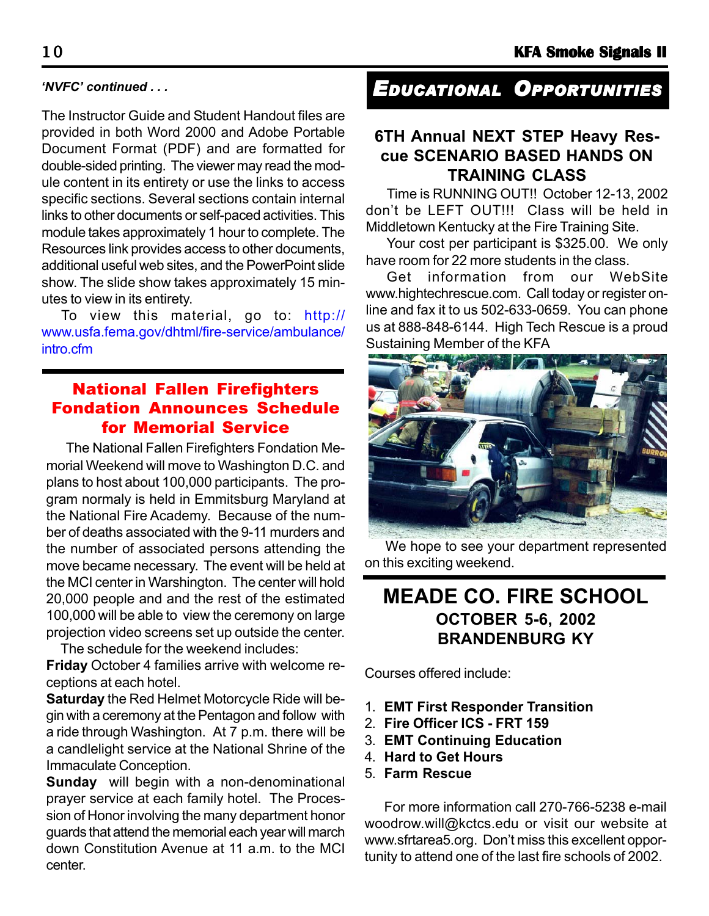#### *'NVFC' continued . . .*

The Instructor Guide and Student Handout files are provided in both Word 2000 and Adobe Portable Document Format (PDF) and are formatted for double-sided printing. The viewer may read the module content in its entirety or use the links to access specific sections. Several sections contain internal links to other documents or self-paced activities. This module takes approximately 1 hour to complete. The Resources link provides access to other documents, additional useful web sites, and the PowerPoint slide show. The slide show takes approximately 15 minutes to view in its entirety.

To view this material, go to: http:// www.usfa.fema.gov/dhtml/fire-service/ambulance/ intro.cfm

# National Fallen Firefighters Fondation Announces Schedule for Memorial Service

 The National Fallen Firefighters Fondation Memorial Weekend will move to Washington D.C. and plans to host about 100,000 participants. The program normaly is held in Emmitsburg Maryland at the National Fire Academy. Because of the number of deaths associated with the 9-11 murders and the number of associated persons attending the move became necessary. The event will be held at the MCI center in Warshington. The center will hold 20,000 people and and the rest of the estimated 100,000 will be able to view the ceremony on large projection video screens set up outside the center.

The schedule for the weekend includes:

**Friday** October 4 families arrive with welcome receptions at each hotel.

**Saturday** the Red Helmet Motorcycle Ride will begin with a ceremony at the Pentagon and follow with a ride through Washington. At 7 p.m. there will be a candlelight service at the National Shrine of the Immaculate Conception.

**Sunday** will begin with a non-denominational prayer service at each family hotel. The Procession of Honor involving the many department honor guards that attend the memorial each year will march down Constitution Avenue at 11 a.m. to the MCI center.

# *EDUCATIONAL OPPORTUNITIES*

# **6TH Annual NEXT STEP Heavy Rescue SCENARIO BASED HANDS ON TRAINING CLASS**

Time is RUNNING OUT!! October 12-13, 2002 don't be LEFT OUT!!! Class will be held in Middletown Kentucky at the Fire Training Site.

Your cost per participant is \$325.00. We only have room for 22 more students in the class.

Get information from our WebSite www.hightechrescue.com. Call today or register online and fax it to us 502-633-0659. You can phone us at 888-848-6144. High Tech Rescue is a proud Sustaining Member of the KFA



We hope to see your department represented on this exciting weekend.

# **MEADE CO. FIRE SCHOOL OCTOBER 5-6, 2002 BRANDENBURG KY**

Courses offered include:

- 1. **EMT First Responder Transition**
- 2. **Fire Officer ICS FRT 159**
- 3. **EMT Continuing Education**
- 4. **Hard to Get Hours**
- 5. **Farm Rescue**

For more information call 270-766-5238 e-mail woodrow.will@kctcs.edu or visit our website at www.sfrtarea5.org. Don't miss this excellent opportunity to attend one of the last fire schools of 2002.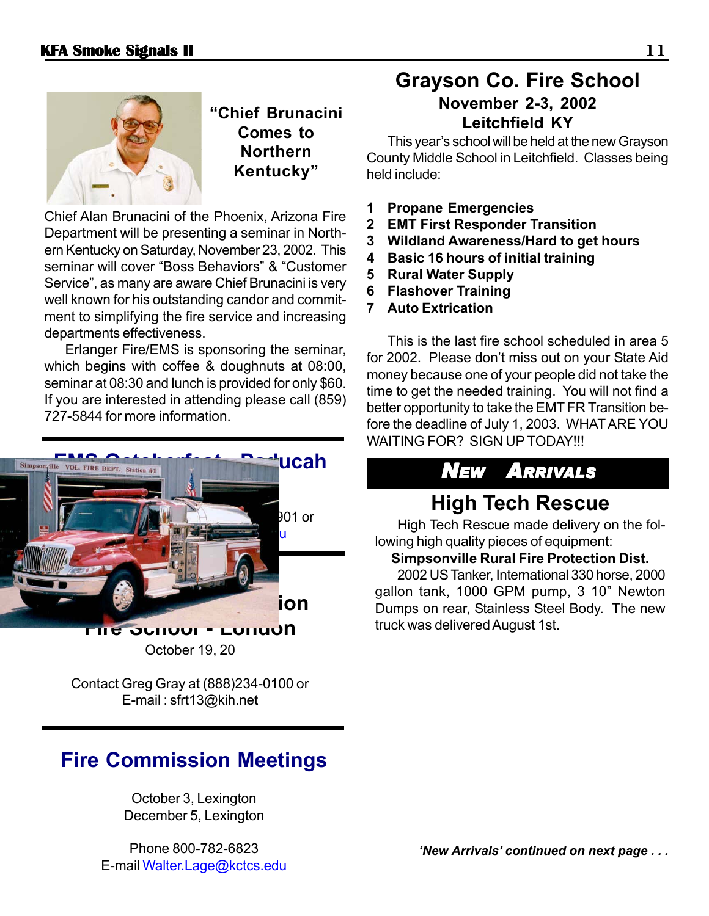

**"Chief Brunacini Comes to Northern Kentucky"**

Chief Alan Brunacini of the Phoenix, Arizona Fire Department will be presenting a seminar in Northern Kentucky on Saturday, November 23, 2002. This seminar will cover "Boss Behaviors" & "Customer Service", as many are aware Chief Brunacini is very well known for his outstanding candor and commitment to simplifying the fire service and increasing departments effectiveness.

Erlanger Fire/EMS is sponsoring the seminar, which begins with coffee & doughnuts at 08:00, seminar at 08:30 and lunch is provided for only \$60. If you are interested in attending please call (859) 727-5844 for more information.



**Fire School - London** October 19, 20

Contact Greg Gray at (888)234-0100 or E-mail : sfrt13@kih.net

# **Fire Commission Meetings**

October 3, Lexington December 5, Lexington

Phone 800-782-6823 E-mail Walter.Lage@kctcs.edu

# **Grayson Co. Fire School November 2-3, 2002**

# **Leitchfield KY**

This year's school will be held at the new Grayson County Middle School in Leitchfield. Classes being held include:

- **1 Propane Emergencies**
- **2 EMT First Responder Transition**
- **3 Wildland Awareness/Hard to get hours**
- **4 Basic 16 hours of initial training**
- **5 Rural Water Supply**
- **6 Flashover Training**
- **7 Auto Extrication**

This is the last fire school scheduled in area 5 for 2002. Please don't miss out on your State Aid money because one of your people did not take the time to get the needed training. You will not find a better opportunity to take the EMT FR Transition before the deadline of July 1, 2003. WHAT ARE YOU WAITING FOR? SIGN UP TODAY!!!

# *NEW ARRIVALS*

# **High Tech Rescue**

High Tech Rescue made delivery on the following high quality pieces of equipment:

#### **Simpsonville Rural Fire Protection Dist.**

2002 US Tanker, International 330 horse, 2000 gallon tank, 1000 GPM pump, 3 10" Newton Dumps on rear, Stainless Steel Body. The new truck was delivered August 1st.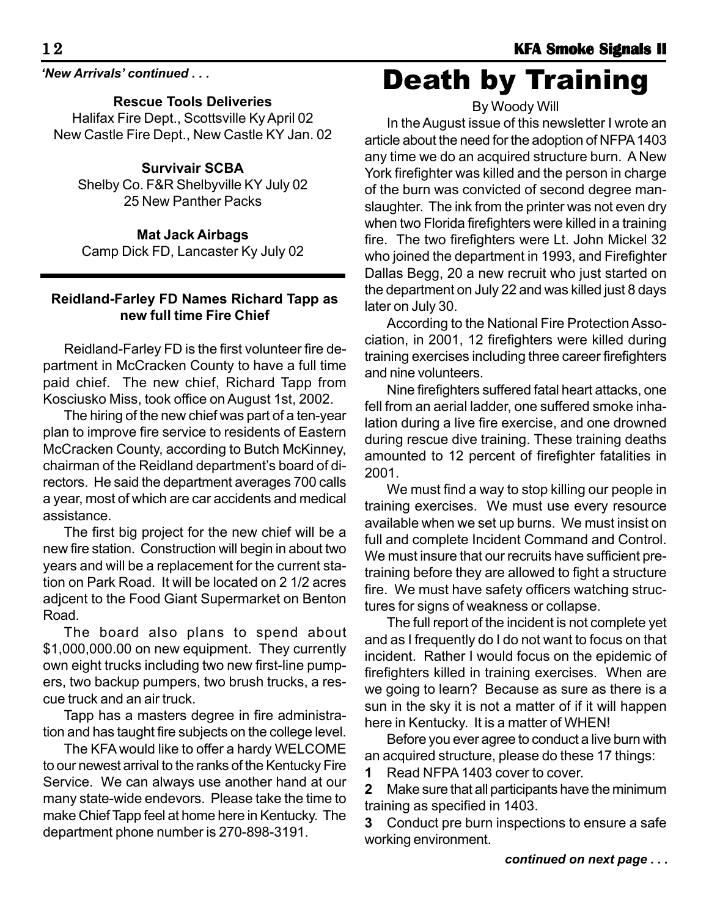*'New Arrivals' continued . . .*

**Rescue Tools Deliveries**

Halifax Fire Dept., Scottsville Ky April 02 New Castle Fire Dept., New Castle KY Jan. 02

### **Survivair SCBA**

Shelby Co. F&R Shelbyville KY July 02 25 New Panther Packs

**Mat Jack Airbags**

Camp Dick FD, Lancaster Ky July 02

### **Reidland-Farley FD Names Richard Tapp as new full time Fire Chief**

Reidland-Farley FD is the first volunteer fire department in McCracken County to have a full time paid chief. The new chief, Richard Tapp from Kosciusko Miss, took office on August 1st, 2002.

The hiring of the new chief was part of a ten-year plan to improve fire service to residents of Eastern McCracken County, according to Butch McKinney, chairman of the Reidland department's board of directors. He said the department averages 700 calls a year, most of which are car accidents and medical assistance.

The first big project for the new chief will be a new fire station. Construction will begin in about two years and will be a replacement for the current station on Park Road. It will be located on 2 1/2 acres adjcent to the Food Giant Supermarket on Benton Road.

The board also plans to spend about \$1,000,000.00 on new equipment. They currently own eight trucks including two new first-line pumpers, two backup pumpers, two brush trucks, a rescue truck and an air truck.

Tapp has a masters degree in fire administration and has taught fire subjects on the college level.

The KFA would like to offer a hardy WELCOME to our newest arrival to the ranks of the Kentucky Fire Service. We can always use another hand at our many state-wide endevors. Please take the time to make Chief Tapp feel at home here in Kentucky. The department phone number is 270-898-3191.

Death by Training

By Woody Will

In the August issue of this newsletter I wrote an article about the need for the adoption of NFPA 1403 any time we do an acquired structure burn. A New York firefighter was killed and the person in charge of the burn was convicted of second degree manslaughter. The ink from the printer was not even dry when two Florida firefighters were killed in a training fire. The two firefighters were Lt. John Mickel 32 who joined the department in 1993, and Firefighter Dallas Begg, 20 a new recruit who just started on the department on July 22 and was killed just 8 days later on July 30.

According to the National Fire Protection Association, in 2001, 12 firefighters were killed during training exercises including three career firefighters and nine volunteers.

Nine firefighters suffered fatal heart attacks, one fell from an aerial ladder, one suffered smoke inhalation during a live fire exercise, and one drowned during rescue dive training. These training deaths amounted to 12 percent of firefighter fatalities in 2001.

We must find a way to stop killing our people in training exercises. We must use every resource available when we set up burns. We must insist on full and complete Incident Command and Control. We must insure that our recruits have sufficient pretraining before they are allowed to fight a structure fire. We must have safety officers watching structures for signs of weakness or collapse.

The full report of the incident is not complete yet and as I frequently do I do not want to focus on that incident. Rather I would focus on the epidemic of firefighters killed in training exercises. When are we going to learn? Because as sure as there is a sun in the sky it is not a matter of if it will happen here in Kentucky. It is a matter of WHEN!

Before you ever agree to conduct a live burn with an acquired structure, please do these 17 things:

**1** Read NFPA 1403 cover to cover.

**2** Make sure that all participants have the minimum training as specified in 1403.

**3** Conduct pre burn inspections to ensure a safe working environment.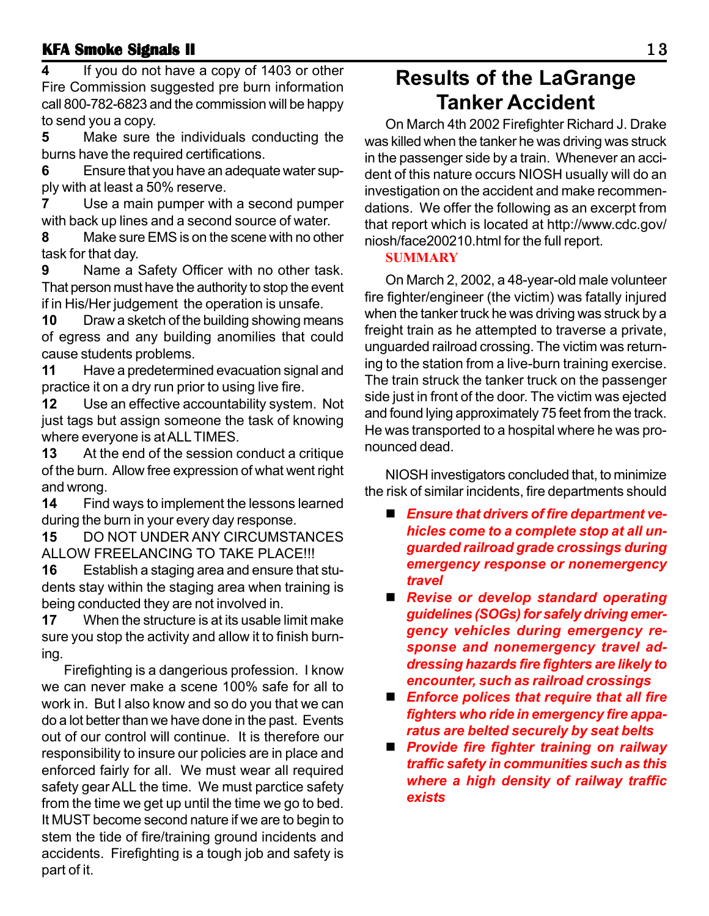### **KFA Smoke Signals II KFA Signals II** 1 3

**4** If you do not have a copy of 1403 or other Fire Commission suggested pre burn information call 800-782-6823 and the commission will be happy to send you a copy.

**5** Make sure the individuals conducting the burns have the required certifications.

**6** Ensure that you have an adequate water supply with at least a 50% reserve.

**7** Use a main pumper with a second pumper with back up lines and a second source of water.

**8** Make sure EMS is on the scene with no other task for that day.

**9** Name a Safety Officer with no other task. That person must have the authority to stop the event if in His/Her judgement the operation is unsafe.

**10** Draw a sketch of the building showing means of egress and any building anomilies that could cause students problems.

**11** Have a predetermined evacuation signal and practice it on a dry run prior to using live fire.

**12** Use an effective accountability system. Not just tags but assign someone the task of knowing where everyone is at ALL TIMES.

**13** At the end of the session conduct a critique of the burn. Allow free expression of what went right and wrong.

**14** Find ways to implement the lessons learned during the burn in your every day response.

**15** DO NOT UNDER ANY CIRCUMSTANCES ALLOW FREELANCING TO TAKE PLACE!!!

**16** Establish a staging area and ensure that students stay within the staging area when training is being conducted they are not involved in.

**17** When the structure is at its usable limit make sure you stop the activity and allow it to finish burning.

Firefighting is a dangerious profession. I know we can never make a scene 100% safe for all to work in. But I also know and so do you that we can do a lot better than we have done in the past. Events out of our control will continue. It is therefore our responsibility to insure our policies are in place and enforced fairly for all. We must wear all required safety gear ALL the time. We must parctice safety from the time we get up until the time we go to bed. It MUST become second nature if we are to begin to stem the tide of fire/training ground incidents and accidents. Firefighting is a tough job and safety is part of it.

# **Results of the LaGrange Tanker Accident**

On March 4th 2002 Firefighter Richard J. Drake was killed when the tanker he was driving was struck in the passenger side by a train. Whenever an accident of this nature occurs NIOSH usually will do an investigation on the accident and make recommendations. We offer the following as an excerpt from that report which is located at http://www.cdc.gov/ niosh/face200210.html for the full report.

#### **SUMMARY**

On March 2, 2002, a 48-year-old male volunteer fire fighter/engineer (the victim) was fatally injured when the tanker truck he was driving was struck by a freight train as he attempted to traverse a private, unguarded railroad crossing. The victim was returning to the station from a live-burn training exercise. The train struck the tanker truck on the passenger side just in front of the door. The victim was ejected and found lying approximately 75 feet from the track. He was transported to a hospital where he was pronounced dead.

NIOSH investigators concluded that, to minimize the risk of similar incidents, fire departments should

- *Ensure that drivers of fire department vehicles come to a complete stop at all unguarded railroad grade crossings during emergency response or nonemergency travel*
- *Revise or develop standard operating guidelines (SOGs) for safely driving emergency vehicles during emergency response and nonemergency travel addressing hazards fire fighters are likely to encounter, such as railroad crossings*
- *Enforce polices that require that all fire fighters who ride in emergency fire apparatus are belted securely by seat belts*
- *Provide fire fighter training on railway traffic safety in communities such as this where a high density of railway traffic exists*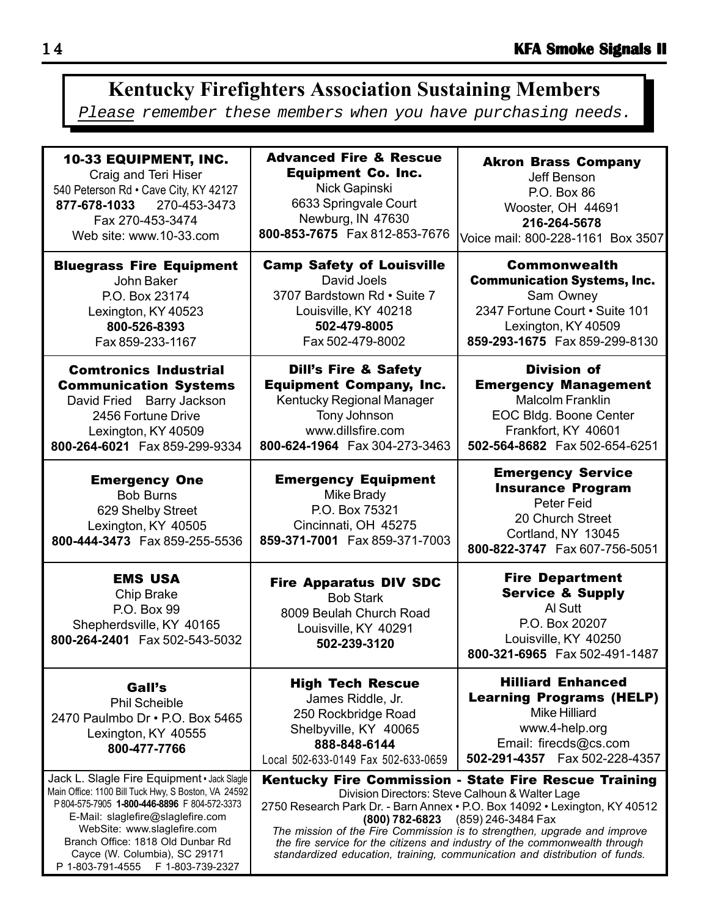# **Kentucky Firefighters Association Sustaining Members**

Please remember these members when you have purchasing needs.

| <b>10-33 EQUIPMENT, INC.</b><br>Craig and Teri Hiser<br>540 Peterson Rd · Cave City, KY 42127<br>877-678-1033 270-453-3473<br>Fax 270-453-3474<br>Web site: www.10-33.com                                                                                                                  | <b>Advanced Fire &amp; Rescue</b><br><b>Equipment Co. Inc.</b><br>Nick Gapinski<br>6633 Springvale Court<br>Newburg, IN 47630<br>800-853-7675  Fax 812-853-7676                                                                                                                                                                                                                                                                                                     | <b>Akron Brass Company</b><br>Jeff Benson<br>P.O. Box 86<br>Wooster, OH 44691<br>216-264-5678<br>Voice mail: 800-228-1161 Box 3507                                 |
|--------------------------------------------------------------------------------------------------------------------------------------------------------------------------------------------------------------------------------------------------------------------------------------------|---------------------------------------------------------------------------------------------------------------------------------------------------------------------------------------------------------------------------------------------------------------------------------------------------------------------------------------------------------------------------------------------------------------------------------------------------------------------|--------------------------------------------------------------------------------------------------------------------------------------------------------------------|
| <b>Bluegrass Fire Equipment</b><br>John Baker<br>P.O. Box 23174<br>Lexington, KY 40523<br>800-526-8393<br>Fax 859-233-1167                                                                                                                                                                 | <b>Camp Safety of Louisville</b><br>David Joels<br>3707 Bardstown Rd . Suite 7<br>Louisville, KY 40218<br>502-479-8005<br>Fax 502-479-8002                                                                                                                                                                                                                                                                                                                          | <b>Commonwealth</b><br><b>Communication Systems, Inc.</b><br>Sam Owney<br>2347 Fortune Court · Suite 101<br>Lexington, KY 40509<br>859-293-1675 Fax 859-299-8130   |
| <b>Comtronics Industrial</b><br><b>Communication Systems</b><br>David Fried Barry Jackson<br>2456 Fortune Drive<br>Lexington, KY 40509<br>800-264-6021 Fax 859-299-9334                                                                                                                    | <b>Dill's Fire &amp; Safety</b><br><b>Equipment Company, Inc.</b><br>Kentucky Regional Manager<br>Tony Johnson<br>www.dillsfire.com<br>800-624-1964  Fax 304-273-3463                                                                                                                                                                                                                                                                                               | <b>Division of</b><br><b>Emergency Management</b><br><b>Malcolm Franklin</b><br>EOC Bldg. Boone Center<br>Frankfort, KY 40601<br>502-564-8682  Fax 502-654-6251    |
| <b>Emergency One</b><br><b>Bob Burns</b><br>629 Shelby Street<br>Lexington, KY 40505<br>800-444-3473  Fax 859-255-5536                                                                                                                                                                     | <b>Emergency Equipment</b><br>Mike Brady<br>P.O. Box 75321<br>Cincinnati, OH 45275<br>859-371-7001 Fax 859-371-7003                                                                                                                                                                                                                                                                                                                                                 | <b>Emergency Service</b><br><b>Insurance Program</b><br>Peter Feid<br>20 Church Street<br>Cortland, NY 13045<br>800-822-3747    Fax 607-756-5051                   |
| <b>EMS USA</b><br>Chip Brake<br>P.O. Box 99<br>Shepherdsville, KY 40165<br>800-264-2401  Fax 502-543-5032                                                                                                                                                                                  | <b>Fire Apparatus DIV SDC</b><br><b>Bob Stark</b><br>8009 Beulah Church Road<br>Louisville, KY 40291<br>502-239-3120                                                                                                                                                                                                                                                                                                                                                | <b>Fire Department</b><br><b>Service &amp; Supply</b><br>Al Sutt<br>P.O. Box 20207<br>Louisville, KY 40250<br>800-321-6965 Fax 502-491-1487                        |
| Gall's<br><b>Phil Scheible</b><br>2470 Paulmbo Dr . P.O. Box 5465<br>Lexington, KY 40555<br>800-477-7766                                                                                                                                                                                   | <b>High Tech Rescue</b><br>James Riddle, Jr.<br>250 Rockbridge Road<br>Shelbyville, KY 40065<br>888-848-6144<br>Local 502-633-0149 Fax 502-633-0659                                                                                                                                                                                                                                                                                                                 | <b>Hilliard Enhanced</b><br><b>Learning Programs (HELP)</b><br><b>Mike Hilliard</b><br>www.4-help.org<br>Email: firecds@cs.com<br>502-291-4357    Fax 502-228-4357 |
| Jack L. Slagle Fire Equipment · Jack Slagle<br>Main Office: 1100 Bill Tuck Hwy, S Boston, VA 24592<br>P804-575-7905 1-800-446-8896 F804-572-3373<br>E-Mail: slaglefire@slaglefire.com<br>WebSite: www.slaglefire.com<br>Branch Office: 1818 Old Dunbar Rd<br>Cayce (W. Columbia), SC 29171 | Kentucky Fire Commission - State Fire Rescue Training<br>Division Directors: Steve Calhoun & Walter Lage<br>2750 Research Park Dr. - Barn Annex • P.O. Box 14092 • Lexington, KY 40512<br>(800) 782-6823 (859) 246-3484 Fax<br>The mission of the Fire Commission is to strengthen, upgrade and improve<br>the fire service for the citizens and industry of the commonwealth through<br>standardized education, training, communication and distribution of funds. |                                                                                                                                                                    |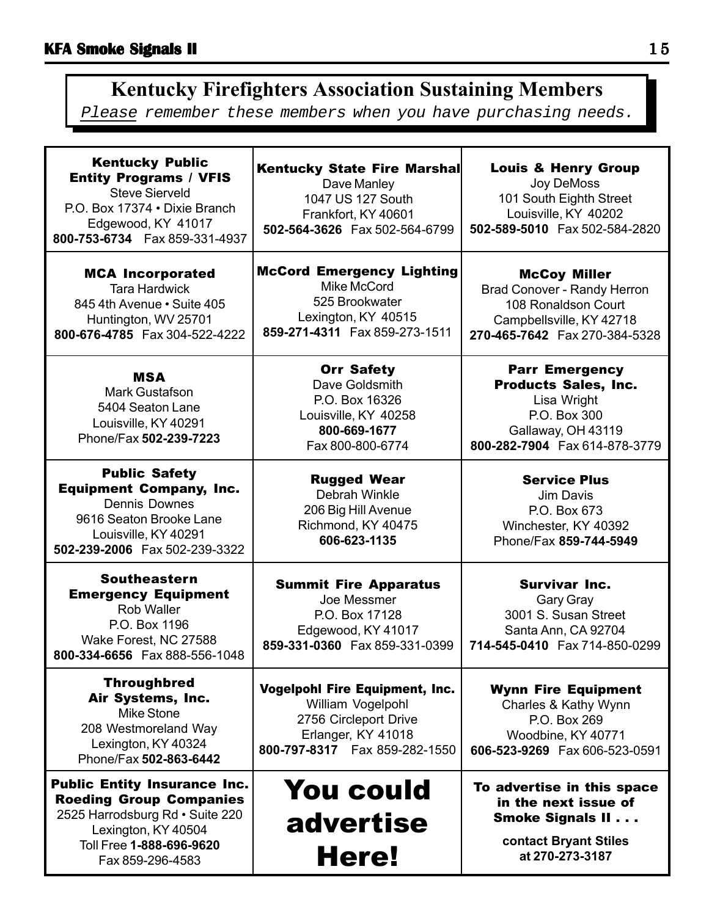# **Kentucky Firefighters Association Sustaining Members**

Please remember these members when you have purchasing needs.

| <b>Kentucky Public</b><br><b>Entity Programs / VFIS</b><br><b>Steve Sierveld</b><br>P.O. Box 17374 . Dixie Branch<br>Edgewood, KY 41017<br>800-753-6734    Fax 859-331-4937     | Kentucky State Fire Marshal<br>Dave Manley<br>1047 US 127 South<br>Frankfort, KY 40601<br>502-564-3626 Fax 502-564-6799                | <b>Louis &amp; Henry Group</b><br>Joy DeMoss<br>101 South Eighth Street<br>Louisville, KY 40202<br>502-589-5010 Fax 502-584-2820           |
|---------------------------------------------------------------------------------------------------------------------------------------------------------------------------------|----------------------------------------------------------------------------------------------------------------------------------------|--------------------------------------------------------------------------------------------------------------------------------------------|
| <b>MCA Incorporated</b><br><b>Tara Hardwick</b><br>845 4th Avenue • Suite 405<br>Huntington, WV 25701<br>800-676-4785  Fax 304-522-4222                                         | <b>McCord Emergency Lighting</b><br>Mike McCord<br>525 Brookwater<br>Lexington, KY 40515<br>859-271-4311  Fax 859-273-1511             | <b>McCoy Miller</b><br>Brad Conover - Randy Herron<br>108 Ronaldson Court<br>Campbellsville, KY 42718<br>270-465-7642  Fax 270-384-5328    |
| <b>MSA</b><br><b>Mark Gustafson</b><br>5404 Seaton Lane<br>Louisville, KY 40291<br>Phone/Fax 502-239-7223                                                                       | <b>Orr Safety</b><br>Dave Goldsmith<br>P.O. Box 16326<br>Louisville, KY 40258<br>800-669-1677<br>Fax 800-800-6774                      | <b>Parr Emergency</b><br><b>Products Sales, Inc.</b><br>Lisa Wright<br>P.O. Box 300<br>Gallaway, OH 43119<br>800-282-7904 Fax 614-878-3779 |
| <b>Public Safety</b><br><b>Equipment Company, Inc.</b><br><b>Dennis Downes</b><br>9616 Seaton Brooke Lane<br>Louisville, KY 40291<br>502-239-2006  Fax 502-239-3322             | <b>Rugged Wear</b><br>Debrah Winkle<br>206 Big Hill Avenue<br>Richmond, KY 40475<br>606-623-1135                                       | <b>Service Plus</b><br>Jim Davis<br>P.O. Box 673<br>Winchester, KY 40392<br>Phone/Fax 859-744-5949                                         |
| <b>Southeastern</b><br><b>Emergency Equipment</b><br>Rob Waller<br>P.O. Box 1196<br>Wake Forest, NC 27588<br>800-334-6656  Fax 888-556-1048                                     | <b>Summit Fire Apparatus</b><br>Joe Messmer<br>P.O. Box 17128<br>Edgewood, KY 41017<br>859-331-0360  Fax 859-331-0399                  | <b>Survivar Inc.</b><br>Gary Gray<br>3001 S. Susan Street<br>Santa Ann, CA 92704<br>714-545-0410  Fax 714-850-0299                         |
| <b>Throughbred</b><br>Air Systems, Inc.<br>Mike Stone<br>208 Westmoreland Way<br>Lexington, KY 40324<br>Phone/Fax 502-863-6442                                                  | Vogelpohl Fire Equipment, Inc.<br>William Vogelpohl<br>2756 Circleport Drive<br>Erlanger, KY 41018<br>800-797-8317    Fax 859-282-1550 | <b>Wynn Fire Equipment</b><br>Charles & Kathy Wynn<br>P.O. Box 269<br>Woodbine, KY 40771<br>606-523-9269  Fax 606-523-0591                 |
| <b>Public Entity Insurance Inc.</b><br><b>Roeding Group Companies</b><br>2525 Harrodsburg Rd · Suite 220<br>Lexington, KY 40504<br>Toll Free 1-888-696-9620<br>Fax 859-296-4583 | <b>You could</b><br>advertise<br>Here!                                                                                                 | To advertise in this space<br>in the next issue of<br><b>Smoke Signals II</b><br>contact Bryant Stiles<br>at 270-273-3187                  |